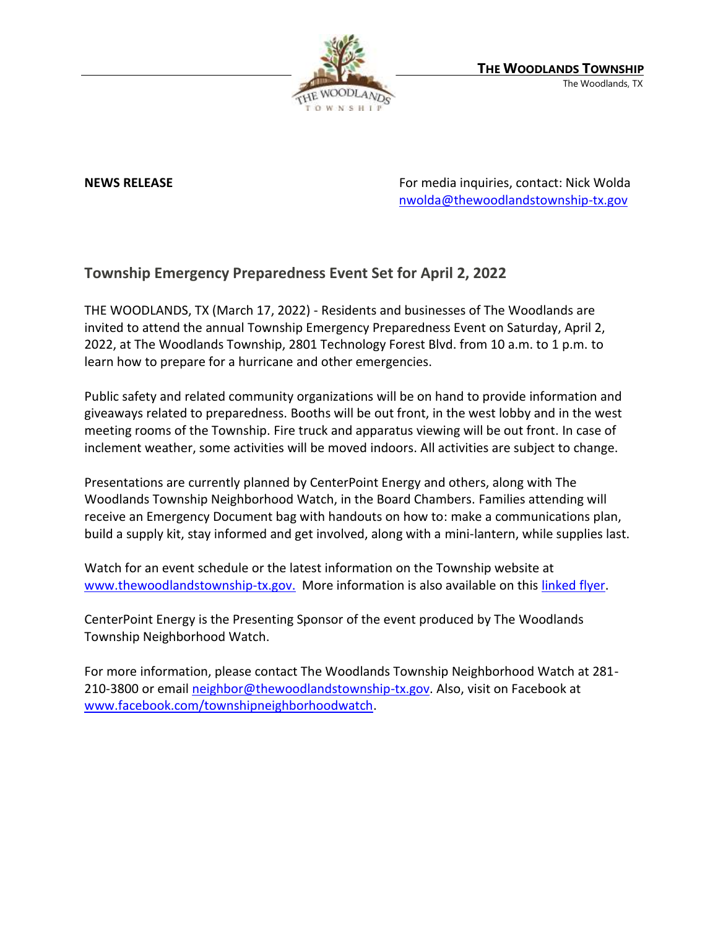

**NEWS RELEASE** For media inquiries, contact: Nick Wolda **NEWS** RELEASE [nwolda@thewoodlandstownship-tx.gov](mailto:nwolda@thewoodlandstownship-tx.gov)

## **Township Emergency Preparedness Event Set for April 2, 2022**

THE WOODLANDS, TX (March 17, 2022) - Residents and businesses of The Woodlands are invited to attend the annual Township Emergency Preparedness Event on Saturday, April 2, 2022, at The Woodlands Township, 2801 Technology Forest Blvd. from 10 a.m. to 1 p.m. to learn how to prepare for a hurricane and other emergencies.

Public safety and related community organizations will be on hand to provide information and giveaways related to preparedness. Booths will be out front, in the west lobby and in the west meeting rooms of the Township. Fire truck and apparatus viewing will be out front. In case of inclement weather, some activities will be moved indoors. All activities are subject to change.

Presentations are currently planned by CenterPoint Energy and others, along with The Woodlands Township Neighborhood Watch, in the Board Chambers. Families attending will receive an Emergency Document bag with handouts on how to: make a communications plan, build a supply kit, stay informed and get involved, along with a mini-lantern, while supplies last.

Watch for an event schedule or the latest information on the Township website at [www.thewoodlandstownship-tx.gov.](http://www.thewoodlandstownship-tx.gov/) More information is also available on thi[s linked flyer.](https://www.thewoodlandstownship-tx.gov/DocumentCenter/View/16134/Emergency-Prep-Event-Sponsor-flier-2022)

CenterPoint Energy is the Presenting Sponsor of the event produced by The Woodlands Township Neighborhood Watch.

For more information, please contact The Woodlands Township Neighborhood Watch at 281 210-3800 or emai[l neighbor@thewoodlandstownship-tx.gov.](mailto:neighbor@thewoodlandstownship-tx.gov) Also, visit on Facebook at [www.facebook.com/townshipneighborhoodwatch.](http://www.facebook.com/townshipneighborhoodwatch)